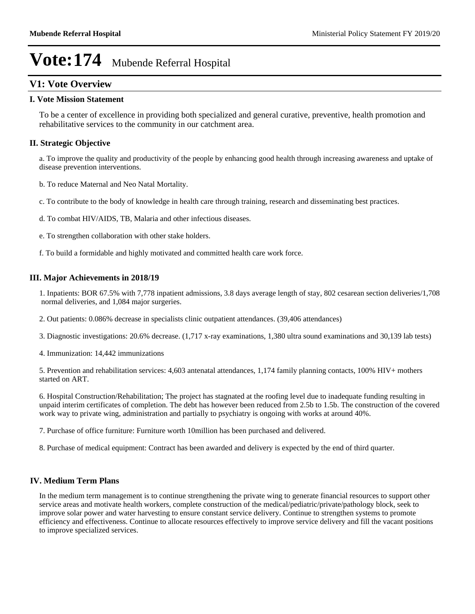### **V1: Vote Overview**

### **I. Vote Mission Statement**

To be a center of excellence in providing both specialized and general curative, preventive, health promotion and rehabilitative services to the community in our catchment area.

### **II. Strategic Objective**

a. To improve the quality and productivity of the people by enhancing good health through increasing awareness and uptake of disease prevention interventions.

- b. To reduce Maternal and Neo Natal Mortality.
- c. To contribute to the body of knowledge in health care through training, research and disseminating best practices.
- d. To combat HIV/AIDS, TB, Malaria and other infectious diseases.
- e. To strengthen collaboration with other stake holders.
- f. To build a formidable and highly motivated and committed health care work force.

### **III. Major Achievements in 2018/19**

1. Inpatients: BOR 67.5% with 7,778 inpatient admissions, 3.8 days average length of stay, 802 cesarean section deliveries/1,708 normal deliveries, and 1,084 major surgeries.

- 2. Out patients: 0.086% decrease in specialists clinic outpatient attendances. (39,406 attendances)
- 3. Diagnostic investigations: 20.6% decrease. (1,717 x-ray examinations, 1,380 ultra sound examinations and 30,139 lab tests)
- 4. Immunization: 14,442 immunizations

5. Prevention and rehabilitation services: 4,603 antenatal attendances, 1,174 family planning contacts, 100% HIV+ mothers started on ART.

6. Hospital Construction/Rehabilitation; The project has stagnated at the roofing level due to inadequate funding resulting in unpaid interim certificates of completion. The debt has however been reduced from 2.5b to 1.5b. The construction of the covered work way to private wing, administration and partially to psychiatry is ongoing with works at around 40%.

- 7. Purchase of office furniture: Furniture worth 10million has been purchased and delivered.
- 8. Purchase of medical equipment: Contract has been awarded and delivery is expected by the end of third quarter.

### **IV. Medium Term Plans**

In the medium term management is to continue strengthening the private wing to generate financial resources to support other service areas and motivate health workers, complete construction of the medical/pediatric/private/pathology block, seek to improve solar power and water harvesting to ensure constant service delivery. Continue to strengthen systems to promote efficiency and effectiveness. Continue to allocate resources effectively to improve service delivery and fill the vacant positions to improve specialized services.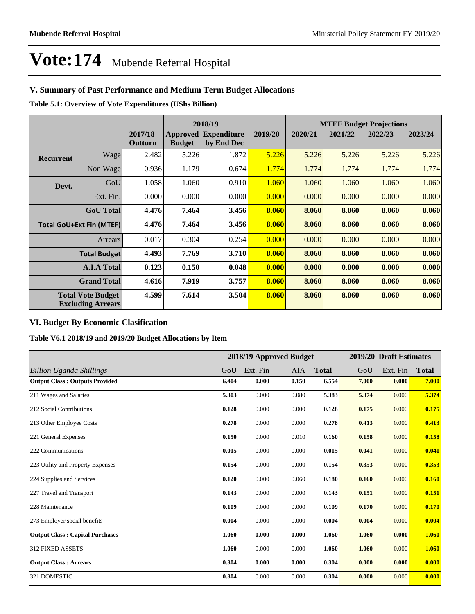### **V. Summary of Past Performance and Medium Term Budget Allocations**

**Table 5.1: Overview of Vote Expenditures (UShs Billion)**

|                  |                                                      |                    |               | 2018/19                                   |         | <b>MTEF Budget Projections</b> |         |         |         |
|------------------|------------------------------------------------------|--------------------|---------------|-------------------------------------------|---------|--------------------------------|---------|---------|---------|
|                  |                                                      | 2017/18<br>Outturn | <b>Budget</b> | <b>Approved Expenditure</b><br>by End Dec | 2019/20 | 2020/21                        | 2021/22 | 2022/23 | 2023/24 |
| <b>Recurrent</b> | Wage                                                 | 2.482              | 5.226         | 1.872                                     | 5.226   | 5.226                          | 5.226   | 5.226   | 5.226   |
|                  | Non Wage                                             | 0.936              | 1.179         | 0.674                                     | 1.774   | 1.774                          | 1.774   | 1.774   | 1.774   |
| Devt.            | GoU                                                  | 1.058              | 1.060         | 0.910                                     | 1.060   | 1.060                          | 1.060   | 1.060   | 1.060   |
|                  | Ext. Fin.                                            | 0.000              | 0.000         | 0.000                                     | 0.000   | 0.000                          | 0.000   | 0.000   | 0.000   |
|                  | <b>GoU</b> Total                                     | 4.476              | 7.464         | 3.456                                     | 8.060   | 8.060                          | 8.060   | 8.060   | 8.060   |
|                  | <b>Total GoU+Ext Fin (MTEF)</b>                      | 4.476              | 7.464         | 3.456                                     | 8.060   | 8.060                          | 8.060   | 8.060   | 8.060   |
|                  | Arrears                                              | 0.017              | 0.304         | 0.254                                     | 0.000   | 0.000                          | 0.000   | 0.000   | 0.000   |
|                  | <b>Total Budget</b>                                  | 4.493              | 7.769         | 3.710                                     | 8.060   | 8.060                          | 8.060   | 8.060   | 8.060   |
|                  | <b>A.I.A Total</b>                                   | 0.123              | 0.150         | 0.048                                     | 0.000   | 0.000                          | 0.000   | 0.000   | 0.000   |
|                  | <b>Grand Total</b>                                   | 4.616              | 7.919         | 3.757                                     | 8.060   | 8.060                          | 8.060   | 8.060   | 8.060   |
|                  | <b>Total Vote Budget</b><br><b>Excluding Arrears</b> | 4.599              | 7.614         | 3.504                                     | 8.060   | 8.060                          | 8.060   | 8.060   | 8.060   |

### **VI. Budget By Economic Clasification**

**Table V6.1 2018/19 and 2019/20 Budget Allocations by Item**

|                                        |       | 2018/19 Approved Budget |       |              |       | 2019/20 Draft Estimates |              |
|----------------------------------------|-------|-------------------------|-------|--------------|-------|-------------------------|--------------|
| Billion Uganda Shillings               | GoU   | Ext. Fin                | AIA   | <b>Total</b> | GoU   | Ext. Fin                | <b>Total</b> |
| <b>Output Class: Outputs Provided</b>  | 6.404 | 0.000                   | 0.150 | 6.554        | 7.000 | 0.000                   | 7.000        |
| 211 Wages and Salaries                 | 5.303 | 0.000                   | 0.080 | 5.383        | 5.374 | 0.000                   | 5.374        |
| 212 Social Contributions               | 0.128 | 0.000                   | 0.000 | 0.128        | 0.175 | 0.000                   | 0.175        |
| 213 Other Employee Costs               | 0.278 | 0.000                   | 0.000 | 0.278        | 0.413 | 0.000                   | 0.413        |
| 221 General Expenses                   | 0.150 | 0.000                   | 0.010 | 0.160        | 0.158 | 0.000                   | 0.158        |
| 222 Communications                     | 0.015 | 0.000                   | 0.000 | 0.015        | 0.041 | 0.000                   | 0.041        |
| 223 Utility and Property Expenses      | 0.154 | 0.000                   | 0.000 | 0.154        | 0.353 | 0.000                   | 0.353        |
| 224 Supplies and Services              | 0.120 | 0.000                   | 0.060 | 0.180        | 0.160 | 0.000                   | 0.160        |
| 227 Travel and Transport               | 0.143 | 0.000                   | 0.000 | 0.143        | 0.151 | 0.000                   | 0.151        |
| 228 Maintenance                        | 0.109 | 0.000                   | 0.000 | 0.109        | 0.170 | 0.000                   | 0.170        |
| 273 Employer social benefits           | 0.004 | 0.000                   | 0.000 | 0.004        | 0.004 | 0.000                   | 0.004        |
| <b>Output Class: Capital Purchases</b> | 1.060 | 0.000                   | 0.000 | 1.060        | 1.060 | 0.000                   | 1.060        |
| <b>312 FIXED ASSETS</b>                | 1.060 | 0.000                   | 0.000 | 1.060        | 1.060 | 0.000                   | 1.060        |
| <b>Output Class: Arrears</b>           | 0.304 | 0.000                   | 0.000 | 0.304        | 0.000 | 0.000                   | 0.000        |
| 321 DOMESTIC                           | 0.304 | 0.000                   | 0.000 | 0.304        | 0.000 | 0.000                   | 0.000        |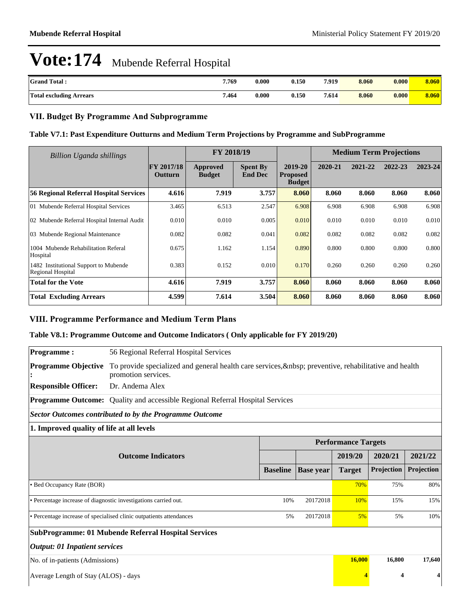| <b>Grand Total:</b>            | 7.769 | 0.000 | 0.150 | 7.919 | 8.060 | 0.000 | 8.060 |
|--------------------------------|-------|-------|-------|-------|-------|-------|-------|
| <b>Total excluding Arrears</b> | 7.464 | 0.000 | 0.150 | 7.614 | 8.060 | 0.000 | 8.060 |

### **VII. Budget By Programme And Subprogramme**

### **Table V7.1: Past Expenditure Outturns and Medium Term Projections by Programme and SubProgramme**

| <b>Billion Uganda shillings</b>                            |                              | FY 2018/19                |                                   |                                             | <b>Medium Term Projections</b> |         |         |         |
|------------------------------------------------------------|------------------------------|---------------------------|-----------------------------------|---------------------------------------------|--------------------------------|---------|---------|---------|
|                                                            | <b>FY 2017/18</b><br>Outturn | Approved<br><b>Budget</b> | <b>Spent By</b><br><b>End Dec</b> | 2019-20<br><b>Proposed</b><br><b>Budget</b> | 2020-21                        | 2021-22 | 2022-23 | 2023-24 |
| <b>56 Regional Referral Hospital Services</b>              | 4.616                        | 7.919                     | 3.757                             | 8.060                                       | 8.060                          | 8.060   | 8.060   | 8.060   |
| 01 Mubende Referral Hospital Services                      | 3.465                        | 6.513                     | 2.547                             | 6.908                                       | 6.908                          | 6.908   | 6.908   | 6.908   |
| 02 Mubende Referral Hospital Internal Audit                | 0.010                        | 0.010                     | 0.005                             | 0.010                                       | 0.010                          | 0.010   | 0.010   | 0.010   |
| 03 Mubende Regional Maintenance                            | 0.082                        | 0.082                     | 0.041                             | 0.082                                       | 0.082                          | 0.082   | 0.082   | 0.082   |
| 1004 Mubende Rehabilitation Referal<br>Hospital            | 0.675                        | 1.162                     | 1.154                             | 0.890                                       | 0.800                          | 0.800   | 0.800   | 0.800   |
| 1482 Institutional Support to Mubende<br>Regional Hospital | 0.383                        | 0.152                     | 0.010                             | 0.170                                       | 0.260                          | 0.260   | 0.260   | 0.260   |
| <b>Total for the Vote</b>                                  | 4.616                        | 7.919                     | 3.757                             | 8.060                                       | 8.060                          | 8.060   | 8.060   | 8.060   |
| <b>Total Excluding Arrears</b>                             | 4.599                        | 7.614                     | 3.504                             | 8.060                                       | 8.060                          | 8.060   | 8.060   | 8.060   |

### **VIII. Programme Performance and Medium Term Plans**

### **Table V8.1: Programme Outcome and Outcome Indicators ( Only applicable for FY 2019/20)**

| Programme:                                | 56 Regional Referral Hospital Services                                                                                  |                 |                  |                            |            |            |  |  |  |  |
|-------------------------------------------|-------------------------------------------------------------------------------------------------------------------------|-----------------|------------------|----------------------------|------------|------------|--|--|--|--|
| <b>Programme Objective</b>                | To provide specialized and general health care services,   preventive, rehabilitative and health<br>promotion services. |                 |                  |                            |            |            |  |  |  |  |
| <b>Responsible Officer:</b>               | Dr. Andema Alex                                                                                                         |                 |                  |                            |            |            |  |  |  |  |
|                                           | Programme Outcome: Quality and accessible Regional Referral Hospital Services                                           |                 |                  |                            |            |            |  |  |  |  |
|                                           | <b>Sector Outcomes contributed to by the Programme Outcome</b>                                                          |                 |                  |                            |            |            |  |  |  |  |
| 1. Improved quality of life at all levels |                                                                                                                         |                 |                  |                            |            |            |  |  |  |  |
|                                           |                                                                                                                         |                 |                  | <b>Performance Targets</b> |            |            |  |  |  |  |
|                                           | <b>Outcome Indicators</b>                                                                                               |                 |                  | 2019/20                    | 2020/21    | 2021/22    |  |  |  |  |
|                                           |                                                                                                                         | <b>Baseline</b> | <b>Base year</b> | <b>Target</b>              | Projection | Projection |  |  |  |  |
| • Bed Occupancy Rate (BOR)                |                                                                                                                         |                 |                  | 70%                        | 75%        | 80%        |  |  |  |  |
|                                           | • Percentage increase of diagnostic investigations carried out.                                                         | 10%             | 20172018         | 10%                        | 15%        | 15%        |  |  |  |  |
|                                           | • Percentage increase of specialised clinic outpatients attendances                                                     | 5%              | 20172018         | 5%                         | 5%         | 10%        |  |  |  |  |
|                                           | <b>SubProgramme: 01 Mubende Referral Hospital Services</b>                                                              |                 |                  |                            |            |            |  |  |  |  |
| <b>Output: 01 Inpatient services</b>      |                                                                                                                         |                 |                  |                            |            |            |  |  |  |  |
| No. of in-patients (Admissions)           |                                                                                                                         |                 |                  | 16,000                     | 16,800     | 17,640     |  |  |  |  |
| Average Length of Stay (ALOS) - days      |                                                                                                                         |                 |                  | 4                          | 4          | 4          |  |  |  |  |
|                                           |                                                                                                                         |                 |                  |                            |            |            |  |  |  |  |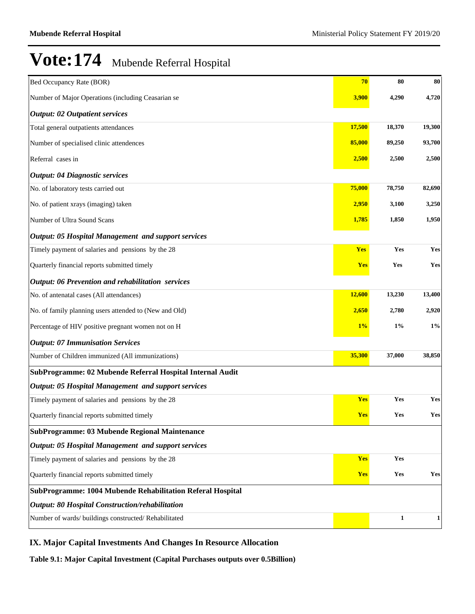| Bed Occupancy Rate (BOR)                                   | 70         | 80     | 80     |
|------------------------------------------------------------|------------|--------|--------|
| Number of Major Operations (including Ceasarian se         | 3,900      | 4,290  | 4,720  |
| <b>Output: 02 Outpatient services</b>                      |            |        |        |
| Total general outpatients attendances                      | 17,500     | 18,370 | 19,300 |
| Number of specialised clinic attendences                   | 85,000     | 89,250 | 93,700 |
| Referral cases in                                          | 2,500      | 2,500  | 2,500  |
| <b>Output: 04 Diagnostic services</b>                      |            |        |        |
| No. of laboratory tests carried out                        | 75,000     | 78,750 | 82,690 |
| No. of patient xrays (imaging) taken                       | 2,950      | 3,100  | 3,250  |
| Number of Ultra Sound Scans                                | 1,785      | 1,850  | 1,950  |
| <b>Output: 05 Hospital Management and support services</b> |            |        |        |
| Timely payment of salaries and pensions by the 28          | Yes        | Yes    | Yes    |
| Quarterly financial reports submitted timely               | <b>Yes</b> | Yes    | Yes    |
| <b>Output: 06 Prevention and rehabilitation services</b>   |            |        |        |
| No. of antenatal cases (All attendances)                   | 12,600     | 13,230 | 13,400 |
| No. of family planning users attended to (New and Old)     | 2,650      | 2,780  | 2,920  |
| Percentage of HIV positive pregnant women not on H         | 1%         | $1\%$  | $1\%$  |
| <b>Output: 07 Immunisation Services</b>                    |            |        |        |
| Number of Children immunized (All immunizations)           | 35,300     | 37,000 | 38,850 |
| SubProgramme: 02 Mubende Referral Hospital Internal Audit  |            |        |        |
| <b>Output: 05 Hospital Management and support services</b> |            |        |        |
| Timely payment of salaries and pensions by the 28          | <b>Yes</b> | Yes    | Yes    |
| Quarterly financial reports submitted timely               | <b>Yes</b> | Yes    | Yes    |
| SubProgramme: 03 Mubende Regional Maintenance              |            |        |        |
| <b>Output: 05 Hospital Management and support services</b> |            |        |        |
| Timely payment of salaries and pensions by the 28          | <b>Yes</b> | Yes    |        |
| Quarterly financial reports submitted timely               | <b>Yes</b> | Yes    | Yes    |
| SubProgramme: 1004 Mubende Rehabilitation Referal Hospital |            |        |        |
| <b>Output: 80 Hospital Construction/rehabilitation</b>     |            |        |        |
| Number of wards/ buildings constructed/ Rehabilitated      |            | 1      | 1      |

### **IX. Major Capital Investments And Changes In Resource Allocation**

**Table 9.1: Major Capital Investment (Capital Purchases outputs over 0.5Billion)**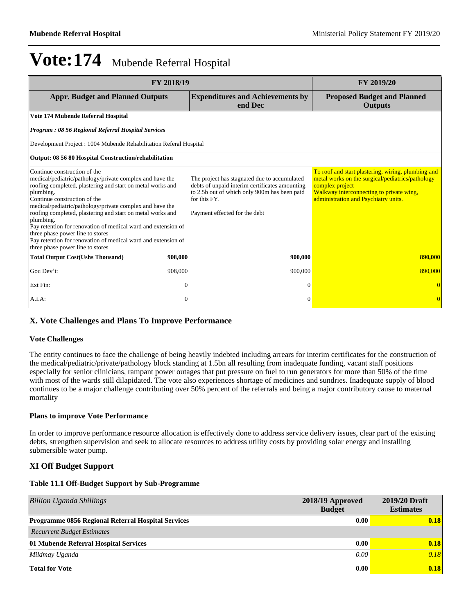| FY 2018/19                                                                                                                                                                                                                                                                                                                                                                                                                                                                                                                                           |                                                                                                                                                                                                 | <b>FY 2019/20</b>                                                                                                                                                                                             |
|------------------------------------------------------------------------------------------------------------------------------------------------------------------------------------------------------------------------------------------------------------------------------------------------------------------------------------------------------------------------------------------------------------------------------------------------------------------------------------------------------------------------------------------------------|-------------------------------------------------------------------------------------------------------------------------------------------------------------------------------------------------|---------------------------------------------------------------------------------------------------------------------------------------------------------------------------------------------------------------|
| <b>Appr. Budget and Planned Outputs</b>                                                                                                                                                                                                                                                                                                                                                                                                                                                                                                              | <b>Expenditures and Achievements by</b><br>end Dec                                                                                                                                              | <b>Proposed Budget and Planned</b><br><b>Outputs</b>                                                                                                                                                          |
| Vote 174 Mubende Referral Hospital                                                                                                                                                                                                                                                                                                                                                                                                                                                                                                                   |                                                                                                                                                                                                 |                                                                                                                                                                                                               |
| Program: 08 56 Regional Referral Hospital Services                                                                                                                                                                                                                                                                                                                                                                                                                                                                                                   |                                                                                                                                                                                                 |                                                                                                                                                                                                               |
| Development Project: 1004 Mubende Rehabilitation Referal Hospital                                                                                                                                                                                                                                                                                                                                                                                                                                                                                    |                                                                                                                                                                                                 |                                                                                                                                                                                                               |
| Output: 08 56 80 Hospital Construction/rehabilitation                                                                                                                                                                                                                                                                                                                                                                                                                                                                                                |                                                                                                                                                                                                 |                                                                                                                                                                                                               |
| Continue construction of the<br>medical/pediatric/pathology/private complex and have the<br>roofing completed, plastering and start on metal works and<br>plumbing.<br>Continue construction of the<br>medical/pediatric/pathology/private complex and have the<br>roofing completed, plastering and start on metal works and<br>plumbing.<br>Pay retention for renovation of medical ward and extension of<br>three phase power line to stores<br>Pay retention for renovation of medical ward and extension of<br>three phase power line to stores | The project has stagnated due to accumulated<br>debts of unpaid interim certificates amounting<br>to 2.5b out of which only 900m has been paid<br>for this FY.<br>Payment effected for the debt | To roof and start plastering, wiring, plumbing and<br>metal works on the surgical/pediatrics/pathology<br>complex project<br>Walkway interconnecting to private wing,<br>administration and Psychiatry units. |
| <b>Total Output Cost(Ushs Thousand)</b><br>908,000                                                                                                                                                                                                                                                                                                                                                                                                                                                                                                   | 900,000                                                                                                                                                                                         | 890,000                                                                                                                                                                                                       |
| Gou Dev't:<br>908,000                                                                                                                                                                                                                                                                                                                                                                                                                                                                                                                                | 900,000                                                                                                                                                                                         | 890,000                                                                                                                                                                                                       |
| Ext Fin:                                                                                                                                                                                                                                                                                                                                                                                                                                                                                                                                             | $\Omega$<br>$\Omega$                                                                                                                                                                            |                                                                                                                                                                                                               |
| A.I.A:                                                                                                                                                                                                                                                                                                                                                                                                                                                                                                                                               | $\mathbf{0}$<br>$\Omega$                                                                                                                                                                        | $\overline{0}$                                                                                                                                                                                                |

### **X. Vote Challenges and Plans To Improve Performance**

### **Vote Challenges**

The entity continues to face the challenge of being heavily indebted including arrears for interim certificates for the construction of the medical/pediatric/private/pathology block standing at 1.5bn all resulting from inadequate funding, vacant staff positions especially for senior clinicians, rampant power outages that put pressure on fuel to run generators for more than 50% of the time with most of the wards still dilapidated. The vote also experiences shortage of medicines and sundries. Inadequate supply of blood continues to be a major challenge contributing over 50% percent of the referrals and being a major contributory cause to maternal mortality

### **Plans to improve Vote Performance**

In order to improve performance resource allocation is effectively done to address service delivery issues, clear part of the existing debts, strengthen supervision and seek to allocate resources to address utility costs by providing solar energy and installing submersible water pump.

### **XI Off Budget Support**

### **Table 11.1 Off-Budget Support by Sub-Programme**

| Billion Uganda Shillings                                  | 2018/19 Approved<br><b>Budget</b> | 2019/20 Draft<br><b>Estimates</b> |
|-----------------------------------------------------------|-----------------------------------|-----------------------------------|
| <b>Programme 0856 Regional Referral Hospital Services</b> | 0.00                              | 0.18                              |
| <b>Recurrent Budget Estimates</b>                         |                                   |                                   |
| 01 Mubende Referral Hospital Services                     | 0.00                              | 0.18                              |
| Mildmay Uganda                                            | 0.00                              | 0.18                              |
| <b>Total for Vote</b>                                     | 0.00                              | 0.18                              |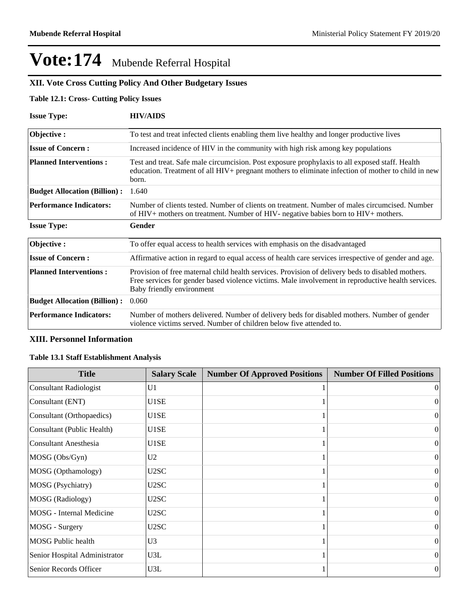### **XII. Vote Cross Cutting Policy And Other Budgetary Issues**

### **Table 12.1: Cross- Cutting Policy Issues**

| <b>Issue Type:</b>                  | <b>HIV/AIDS</b>                                                                                                                                                                                                                      |
|-------------------------------------|--------------------------------------------------------------------------------------------------------------------------------------------------------------------------------------------------------------------------------------|
| Objective:                          | To test and treat infected clients enabling them live healthy and longer productive lives                                                                                                                                            |
| <b>Issue of Concern:</b>            | Increased incidence of HIV in the community with high risk among key populations                                                                                                                                                     |
| <b>Planned Interventions:</b>       | Test and treat. Safe male circumcision. Post exposure prophylaxis to all exposed staff. Health<br>education. Treatment of all HIV+ pregnant mothers to eliminate infection of mother to child in new<br>born.                        |
| <b>Budget Allocation (Billion):</b> | 1.640                                                                                                                                                                                                                                |
| <b>Performance Indicators:</b>      | Number of clients tested. Number of clients on treatment. Number of males circumcised. Number<br>of HIV+ mothers on treatment. Number of HIV- negative babies born to HIV+ mothers.                                                  |
| <b>Issue Type:</b>                  | Gender                                                                                                                                                                                                                               |
| Objective:                          | To offer equal access to health services with emphasis on the disadvantaged                                                                                                                                                          |
| <b>Issue of Concern:</b>            | Affirmative action in regard to equal access of health care services irrespective of gender and age.                                                                                                                                 |
| <b>Planned Interventions:</b>       | Provision of free maternal child health services. Provision of delivery beds to disabled mothers.<br>Free services for gender based violence victims. Male involvement in reproductive health services.<br>Baby friendly environment |
| <b>Budget Allocation (Billion):</b> | 0.060                                                                                                                                                                                                                                |
| <b>Performance Indicators:</b>      | Number of mothers delivered. Number of delivery beds for disabled mothers. Number of gender<br>violence victims served. Number of children below five attended to.                                                                   |

### **XIII. Personnel Information**

### **Table 13.1 Staff Establishment Analysis**

| <b>Title</b>                  | <b>Salary Scale</b> | <b>Number Of Approved Positions</b> | <b>Number Of Filled Positions</b> |
|-------------------------------|---------------------|-------------------------------------|-----------------------------------|
| <b>Consultant Radiologist</b> | U <sub>1</sub>      |                                     | 0                                 |
| Consultant (ENT)              | U1SE                |                                     | $\Omega$                          |
| Consultant (Orthopaedics)     | U1SE                |                                     | $\Omega$                          |
| Consultant (Public Health)    | U1SE                |                                     | $\theta$                          |
| <b>Consultant Anesthesia</b>  | U1SE                |                                     | $\Omega$                          |
| MOSG (Obs/Gyn)                | U <sub>2</sub>      |                                     | $\Omega$                          |
| MOSG (Opthamology)            | U2SC                |                                     | $\Omega$                          |
| MOSG (Psychiatry)             | U2SC                |                                     | $\Omega$                          |
| MOSG (Radiology)              | U2SC                |                                     | $\Omega$                          |
| MOSG - Internal Medicine      | U2SC                |                                     | $\Omega$                          |
| MOSG - Surgery                | U2SC                |                                     | $\Omega$                          |
| <b>MOSG Public health</b>     | U <sub>3</sub>      |                                     | $\Omega$                          |
| Senior Hospital Administrator | U3L                 |                                     | $\Omega$                          |
| Senior Records Officer        | U3L                 |                                     | $\boldsymbol{0}$                  |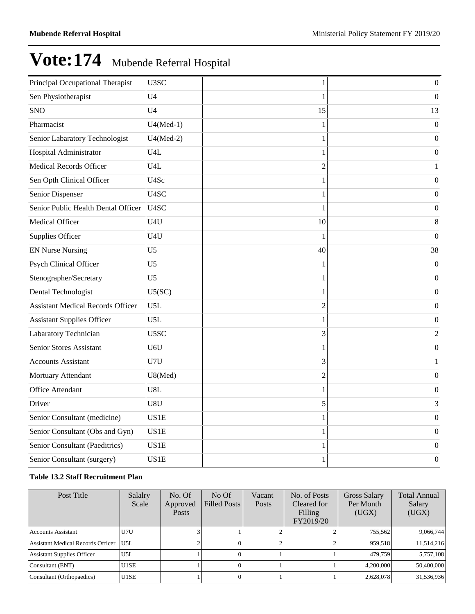| Principal Occupational Therapist         | U3SC              | 1              | $\boldsymbol{0}$ |
|------------------------------------------|-------------------|----------------|------------------|
| Sen Physiotherapist                      | U <sub>4</sub>    | 1              | $\boldsymbol{0}$ |
| <b>SNO</b>                               | U <sub>4</sub>    | 15             | 13               |
| Pharmacist                               | $U4(Med-1)$       |                | $\overline{0}$   |
| Senior Labaratory Technologist           | $U4(Med-2)$       | 1              | $\boldsymbol{0}$ |
| Hospital Administrator                   | U <sub>4</sub> L  | 1              | $\boldsymbol{0}$ |
| <b>Medical Records Officer</b>           | U <sub>4</sub> L  | $\overline{2}$ | 1                |
| Sen Opth Clinical Officer                | U4Sc              | 1              | $\boldsymbol{0}$ |
| <b>Senior Dispenser</b>                  | U4SC              |                | $\mathbf{0}$     |
| Senior Public Health Dental Officer      | U <sub>4</sub> SC | 1              | $\boldsymbol{0}$ |
| Medical Officer                          | U4U               | 10             | 8                |
| Supplies Officer                         | U4U               | 1              | $\boldsymbol{0}$ |
| <b>EN Nurse Nursing</b>                  | U <sub>5</sub>    | 40             | 38               |
| Psych Clinical Officer                   | U <sub>5</sub>    | 1              | $\boldsymbol{0}$ |
| Stenographer/Secretary                   | U <sub>5</sub>    |                | $\mathbf{0}$     |
| Dental Technologist                      | U5(SC)            | 1              | $\overline{0}$   |
| <b>Assistant Medical Records Officer</b> | U5L               | $\overline{2}$ | $\boldsymbol{0}$ |
| <b>Assistant Supplies Officer</b>        | U5L               |                | $\boldsymbol{0}$ |
| Labaratory Technician                    | U5SC              | 3              | $\overline{c}$   |
| Senior Stores Assistant                  | U6U               | 1              | $\mathbf{0}$     |
| <b>Accounts Assistant</b>                | U7U               | 3              | 1                |
| Mortuary Attendant                       | U8(Med)           | $\overline{2}$ | $\overline{0}$   |
| Office Attendant                         | U8L               | 1              | $\boldsymbol{0}$ |
| Driver                                   | U8U               | 5              | 3                |
| Senior Consultant (medicine)             | US1E              | 1              | $\overline{0}$   |
| Senior Consultant (Obs and Gyn)          | US1E              | 1              | $\mathbf{0}$     |
| Senior Consultant (Paeditrics)           | US1E              |                | $\boldsymbol{0}$ |
| Senior Consultant (surgery)              | US1E              | 1              | $\boldsymbol{0}$ |

### **Table 13.2 Staff Recruitment Plan**

| Post Title                               | Salalry<br>Scale | No. Of<br>Approved<br><b>Posts</b> | No Of<br><b>Filled Posts</b> | Vacant<br>Posts | No. of Posts<br>Cleared for<br>Filling<br>FY2019/20 | <b>Gross Salary</b><br>Per Month<br>(UGX) | <b>Total Annual</b><br>Salary<br>(UGX) |
|------------------------------------------|------------------|------------------------------------|------------------------------|-----------------|-----------------------------------------------------|-------------------------------------------|----------------------------------------|
| <b>Accounts Assistant</b>                | U7U              |                                    |                              |                 |                                                     | 755.562                                   | 9,066,744                              |
| <b>Assistant Medical Records Officer</b> | U5L              |                                    |                              |                 |                                                     | 959.518                                   | 11,514,216                             |
| <b>Assistant Supplies Officer</b>        | U5L              |                                    |                              |                 |                                                     | 479,759                                   | 5,757,108                              |
| Consultant (ENT)                         | U1SE             |                                    |                              |                 |                                                     | 4.200,000                                 | 50,400,000                             |
| Consultant (Orthopaedics)                | U1SE             |                                    |                              |                 |                                                     | 2,628,078                                 | 31,536,936                             |